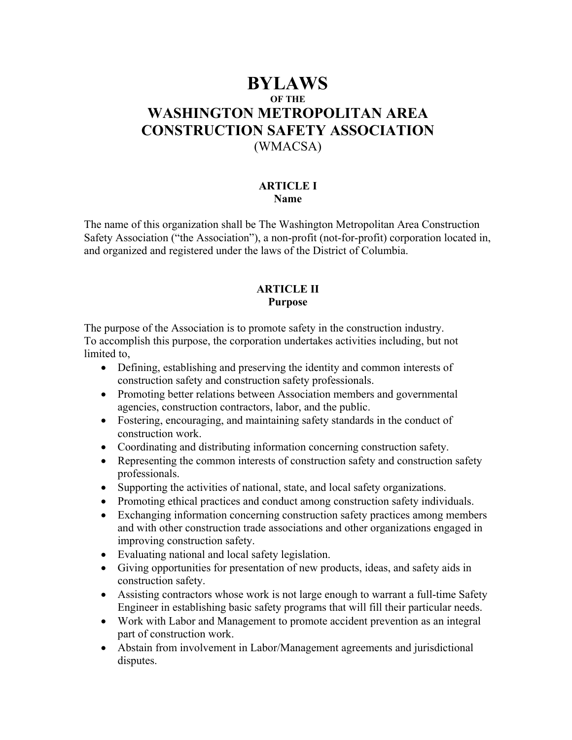# **BYLAWS OF THE WASHINGTON METROPOLITAN AREA CONSTRUCTION SAFETY ASSOCIATION**  (WMACSA)

#### **ARTICLE I Name**

The name of this organization shall be The Washington Metropolitan Area Construction Safety Association ("the Association"), a non-profit (not-for-profit) corporation located in, and organized and registered under the laws of the District of Columbia.

#### **ARTICLE II Purpose**

The purpose of the Association is to promote safety in the construction industry. To accomplish this purpose, the corporation undertakes activities including, but not limited to,

- Defining, establishing and preserving the identity and common interests of construction safety and construction safety professionals.
- Promoting better relations between Association members and governmental agencies, construction contractors, labor, and the public.
- Fostering, encouraging, and maintaining safety standards in the conduct of construction work.
- Coordinating and distributing information concerning construction safety.
- Representing the common interests of construction safety and construction safety professionals.
- Supporting the activities of national, state, and local safety organizations.
- Promoting ethical practices and conduct among construction safety individuals.
- Exchanging information concerning construction safety practices among members and with other construction trade associations and other organizations engaged in improving construction safety.
- Evaluating national and local safety legislation.
- Giving opportunities for presentation of new products, ideas, and safety aids in construction safety.
- Assisting contractors whose work is not large enough to warrant a full-time Safety Engineer in establishing basic safety programs that will fill their particular needs.
- Work with Labor and Management to promote accident prevention as an integral part of construction work.
- Abstain from involvement in Labor/Management agreements and jurisdictional disputes.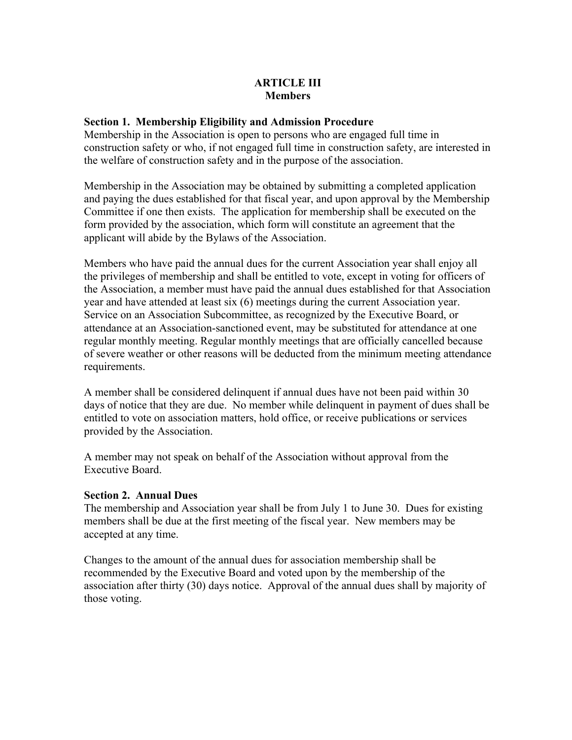## **ARTICLE III Members**

#### **Section 1. Membership Eligibility and Admission Procedure**

Membership in the Association is open to persons who are engaged full time in construction safety or who, if not engaged full time in construction safety, are interested in the welfare of construction safety and in the purpose of the association.

Membership in the Association may be obtained by submitting a completed application and paying the dues established for that fiscal year, and upon approval by the Membership Committee if one then exists. The application for membership shall be executed on the form provided by the association, which form will constitute an agreement that the applicant will abide by the Bylaws of the Association.

Members who have paid the annual dues for the current Association year shall enjoy all the privileges of membership and shall be entitled to vote, except in voting for officers of the Association, a member must have paid the annual dues established for that Association year and have attended at least six (6) meetings during the current Association year. Service on an Association Subcommittee, as recognized by the Executive Board, or attendance at an Association-sanctioned event, may be substituted for attendance at one regular monthly meeting. Regular monthly meetings that are officially cancelled because of severe weather or other reasons will be deducted from the minimum meeting attendance requirements.

A member shall be considered delinquent if annual dues have not been paid within 30 days of notice that they are due. No member while delinquent in payment of dues shall be entitled to vote on association matters, hold office, or receive publications or services provided by the Association.

A member may not speak on behalf of the Association without approval from the Executive Board.

#### **Section 2. Annual Dues**

The membership and Association year shall be from July 1 to June 30. Dues for existing members shall be due at the first meeting of the fiscal year. New members may be accepted at any time.

Changes to the amount of the annual dues for association membership shall be recommended by the Executive Board and voted upon by the membership of the association after thirty (30) days notice. Approval of the annual dues shall by majority of those voting.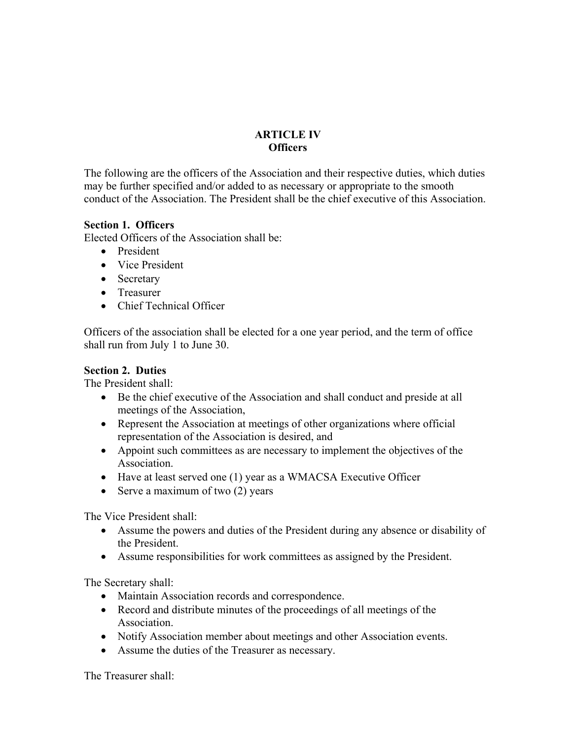# **ARTICLE IV Officers**

The following are the officers of the Association and their respective duties, which duties may be further specified and/or added to as necessary or appropriate to the smooth conduct of the Association. The President shall be the chief executive of this Association.

## **Section 1. Officers**

Elected Officers of the Association shall be:

- President
- Vice President
- Secretary
- Treasurer
- Chief Technical Officer

Officers of the association shall be elected for a one year period, and the term of office shall run from July 1 to June 30.

## **Section 2. Duties**

The President shall:

- Be the chief executive of the Association and shall conduct and preside at all meetings of the Association,
- Represent the Association at meetings of other organizations where official representation of the Association is desired, and
- Appoint such committees as are necessary to implement the objectives of the Association.
- Have at least served one (1) year as a WMACSA Executive Officer
- Serve a maximum of two  $(2)$  years

The Vice President shall:

- Assume the powers and duties of the President during any absence or disability of the President.
- Assume responsibilities for work committees as assigned by the President.

The Secretary shall:

- Maintain Association records and correspondence.
- Record and distribute minutes of the proceedings of all meetings of the Association.
- Notify Association member about meetings and other Association events.
- Assume the duties of the Treasurer as necessary.

The Treasurer shall: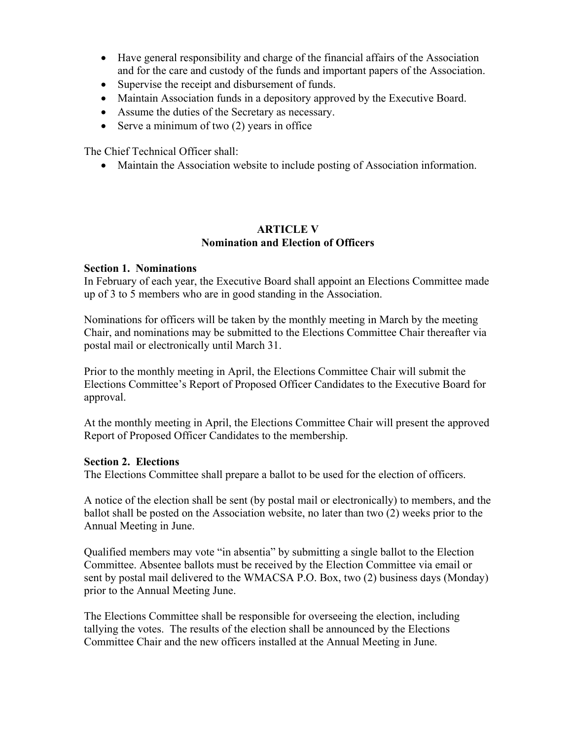- Have general responsibility and charge of the financial affairs of the Association and for the care and custody of the funds and important papers of the Association.
- Supervise the receipt and disbursement of funds.
- Maintain Association funds in a depository approved by the Executive Board.
- Assume the duties of the Secretary as necessary.
- Serve a minimum of two (2) years in office

The Chief Technical Officer shall:

• Maintain the Association website to include posting of Association information.

## **ARTICLE V Nomination and Election of Officers**

## **Section 1. Nominations**

In February of each year, the Executive Board shall appoint an Elections Committee made up of 3 to 5 members who are in good standing in the Association.

Nominations for officers will be taken by the monthly meeting in March by the meeting Chair, and nominations may be submitted to the Elections Committee Chair thereafter via postal mail or electronically until March 31.

Prior to the monthly meeting in April, the Elections Committee Chair will submit the Elections Committee's Report of Proposed Officer Candidates to the Executive Board for approval.

At the monthly meeting in April, the Elections Committee Chair will present the approved Report of Proposed Officer Candidates to the membership.

#### **Section 2. Elections**

The Elections Committee shall prepare a ballot to be used for the election of officers.

A notice of the election shall be sent (by postal mail or electronically) to members, and the ballot shall be posted on the Association website, no later than two (2) weeks prior to the Annual Meeting in June.

Qualified members may vote "in absentia" by submitting a single ballot to the Election Committee. Absentee ballots must be received by the Election Committee via email or sent by postal mail delivered to the WMACSA P.O. Box, two (2) business days (Monday) prior to the Annual Meeting June.

The Elections Committee shall be responsible for overseeing the election, including tallying the votes. The results of the election shall be announced by the Elections Committee Chair and the new officers installed at the Annual Meeting in June.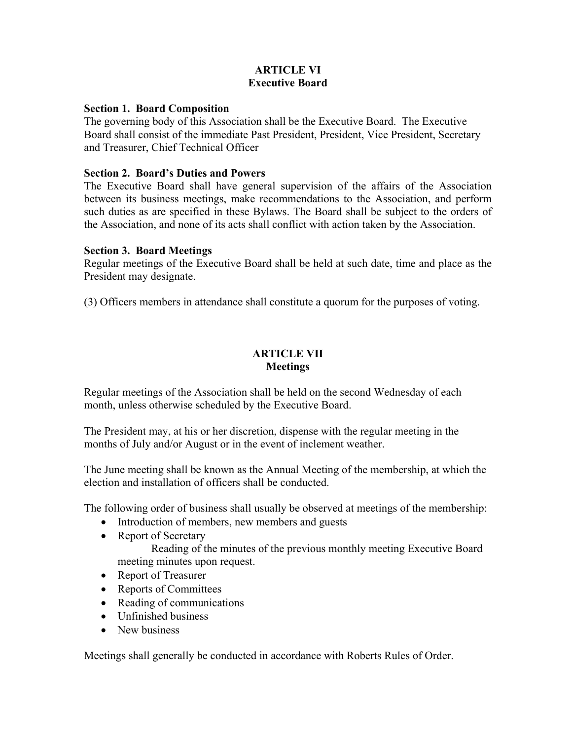## **ARTICLE VI Executive Board**

### **Section 1. Board Composition**

The governing body of this Association shall be the Executive Board. The Executive Board shall consist of the immediate Past President, President, Vice President, Secretary and Treasurer, Chief Technical Officer

## **Section 2. Board's Duties and Powers**

The Executive Board shall have general supervision of the affairs of the Association between its business meetings, make recommendations to the Association, and perform such duties as are specified in these Bylaws. The Board shall be subject to the orders of the Association, and none of its acts shall conflict with action taken by the Association.

#### **Section 3. Board Meetings**

Regular meetings of the Executive Board shall be held at such date, time and place as the President may designate.

(3) Officers members in attendance shall constitute a quorum for the purposes of voting.

## **ARTICLE VII Meetings**

Regular meetings of the Association shall be held on the second Wednesday of each month, unless otherwise scheduled by the Executive Board.

The President may, at his or her discretion, dispense with the regular meeting in the months of July and/or August or in the event of inclement weather.

The June meeting shall be known as the Annual Meeting of the membership, at which the election and installation of officers shall be conducted.

The following order of business shall usually be observed at meetings of the membership:

- Introduction of members, new members and guests
- Report of Secretary

 Reading of the minutes of the previous monthly meeting Executive Board meeting minutes upon request.

- Report of Treasurer
- Reports of Committees
- Reading of communications
- Unfinished business
- New husiness

Meetings shall generally be conducted in accordance with Roberts Rules of Order.